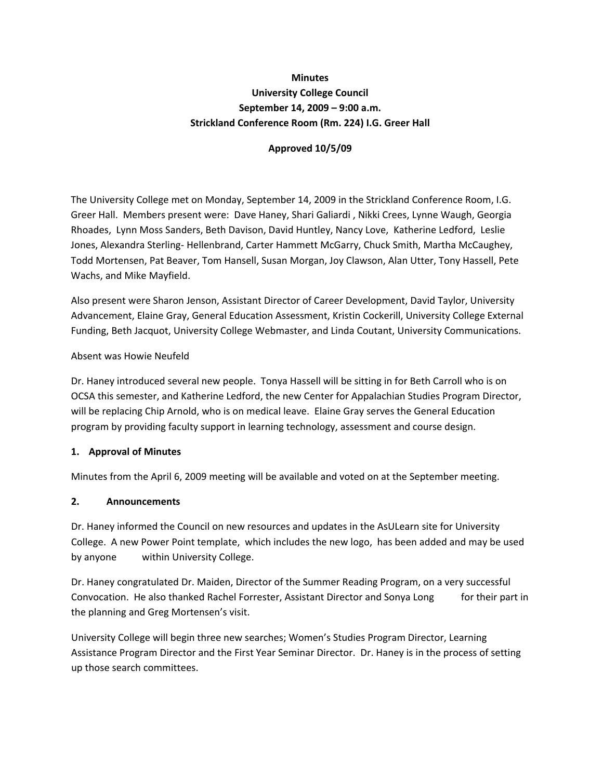# **Minutes University College Council September 14, 2009 – 9:00 a.m. Strickland Conference Room (Rm. 224) I.G. Greer Hall**

### **Approved 10/5/09**

The University College met on Monday, September 14, 2009 in the Strickland Conference Room, I.G. Greer Hall. Members present were: Dave Haney, Shari Galiardi , Nikki Crees, Lynne Waugh, Georgia Rhoades, Lynn Moss Sanders, Beth Davison, David Huntley, Nancy Love, Katherine Ledford, Leslie Jones, Alexandra Sterling‐ Hellenbrand, Carter Hammett McGarry, Chuck Smith, Martha McCaughey, Todd Mortensen, Pat Beaver, Tom Hansell, Susan Morgan, Joy Clawson, Alan Utter, Tony Hassell, Pete Wachs, and Mike Mayfield.

Also present were Sharon Jenson, Assistant Director of Career Development, David Taylor, University Advancement, Elaine Gray, General Education Assessment, Kristin Cockerill, University College External Funding, Beth Jacquot, University College Webmaster, and Linda Coutant, University Communications.

### Absent was Howie Neufeld

Dr. Haney introduced several new people. Tonya Hassell will be sitting in for Beth Carroll who is on OCSA this semester, and Katherine Ledford, the new Center for Appalachian Studies Program Director, will be replacing Chip Arnold, who is on medical leave. Elaine Gray serves the General Education program by providing faculty support in learning technology, assessment and course design.

## **1. Approval of Minutes**

Minutes from the April 6, 2009 meeting will be available and voted on at the September meeting.

#### **2. Announcements**

Dr. Haney informed the Council on new resources and updates in the AsULearn site for University College. A new Power Point template, which includes the new logo, has been added and may be used by anyone within University College.

Dr. Haney congratulated Dr. Maiden, Director of the Summer Reading Program, on a very successful Convocation. He also thanked Rachel Forrester, Assistant Director and Sonya Long for their part in the planning and Greg Mortensen's visit.

University College will begin three new searches; Women's Studies Program Director, Learning Assistance Program Director and the First Year Seminar Director. Dr. Haney is in the process of setting up those search committees.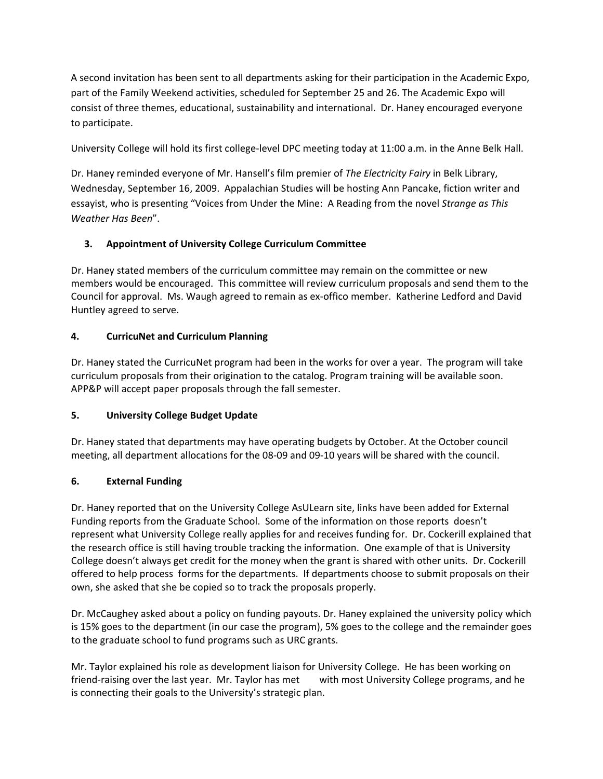A second invitation has been sent to all departments asking for their participation in the Academic Expo, part of the Family Weekend activities, scheduled for September 25 and 26. The Academic Expo will consist of three themes, educational, sustainability and international. Dr. Haney encouraged everyone to participate.

University College will hold its first college‐level DPC meeting today at 11:00 a.m. in the Anne Belk Hall.

Dr. Haney reminded everyone of Mr. Hansell's film premier of *The Electricity Fairy* in Belk Library, Wednesday, September 16, 2009. Appalachian Studies will be hosting Ann Pancake, fiction writer and essayist, who is presenting "Voices from Under the Mine: A Reading from the novel *Strange as This Weather Has Been*".

# **3. Appointment of University College Curriculum Committee**

Dr. Haney stated members of the curriculum committee may remain on the committee or new members would be encouraged. This committee will review curriculum proposals and send them to the Council for approval. Ms. Waugh agreed to remain as ex‐offico member. Katherine Ledford and David Huntley agreed to serve.

## **4. CurricuNet and Curriculum Planning**

Dr. Haney stated the CurricuNet program had been in the works for over a year. The program will take curriculum proposals from their origination to the catalog. Program training will be available soon. APP&P will accept paper proposals through the fall semester.

## **5. University College Budget Update**

Dr. Haney stated that departments may have operating budgets by October. At the October council meeting, all department allocations for the 08‐09 and 09‐10 years will be shared with the council.

## **6. External Funding**

Dr. Haney reported that on the University College AsULearn site, links have been added for External Funding reports from the Graduate School. Some of the information on those reports doesn't represent what University College really applies for and receives funding for. Dr. Cockerill explained that the research office is still having trouble tracking the information. One example of that is University College doesn't always get credit for the money when the grant is shared with other units. Dr. Cockerill offered to help process forms for the departments. If departments choose to submit proposals on their own, she asked that she be copied so to track the proposals properly.

Dr. McCaughey asked about a policy on funding payouts. Dr. Haney explained the university policy which is 15% goes to the department (in our case the program), 5% goes to the college and the remainder goes to the graduate school to fund programs such as URC grants.

Mr. Taylor explained his role as development liaison for University College. He has been working on friend-raising over the last year. Mr. Taylor has met with most University College programs, and he is connecting their goals to the University's strategic plan.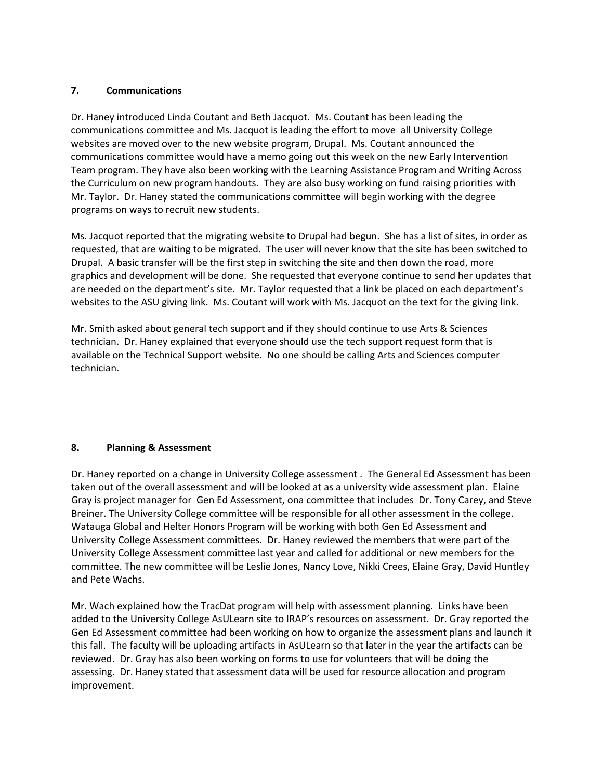### **7. Communications**

Dr. Haney introduced Linda Coutant and Beth Jacquot. Ms. Coutant has been leading the communications committee and Ms. Jacquot is leading the effort to move all University College websites are moved over to the new website program, Drupal. Ms. Coutant announced the communications committee would have a memo going out this week on the new Early Intervention Team program. They have also been working with the Learning Assistance Program and Writing Across the Curriculum on new program handouts. They are also busy working on fund raising priorities with Mr. Taylor. Dr. Haney stated the communications committee will begin working with the degree programs on ways to recruit new students.

Ms. Jacquot reported that the migrating website to Drupal had begun. She has a list of sites, in order as requested, that are waiting to be migrated. The user will never know that the site has been switched to Drupal. A basic transfer will be the first step in switching the site and then down the road, more graphics and development will be done. She requested that everyone continue to send her updates that are needed on the department's site. Mr. Taylor requested that a link be placed on each department's websites to the ASU giving link. Ms. Coutant will work with Ms. Jacquot on the text for the giving link.

Mr. Smith asked about general tech support and if they should continue to use Arts & Sciences technician. Dr. Haney explained that everyone should use the tech support request form that is available on the Technical Support website. No one should be calling Arts and Sciences computer technician.

## **8. Planning & Assessment**

Dr. Haney reported on a change in University College assessment . The General Ed Assessment has been taken out of the overall assessment and will be looked at as a university wide assessment plan. Elaine Gray is project manager for Gen Ed Assessment, ona committee that includes Dr. Tony Carey, and Steve Breiner. The University College committee will be responsible for all other assessment in the college. Watauga Global and Helter Honors Program will be working with both Gen Ed Assessment and University College Assessment committees. Dr. Haney reviewed the members that were part of the University College Assessment committee last year and called for additional or new members for the committee. The new committee will be Leslie Jones, Nancy Love, Nikki Crees, Elaine Gray, David Huntley and Pete Wachs.

Mr. Wach explained how the TracDat program will help with assessment planning. Links have been added to the University College AsULearn site to IRAP's resources on assessment. Dr. Gray reported the Gen Ed Assessment committee had been working on how to organize the assessment plans and launch it this fall. The faculty will be uploading artifacts in AsULearn so that later in the year the artifacts can be reviewed. Dr. Gray has also been working on forms to use for volunteers that will be doing the assessing. Dr. Haney stated that assessment data will be used for resource allocation and program improvement.